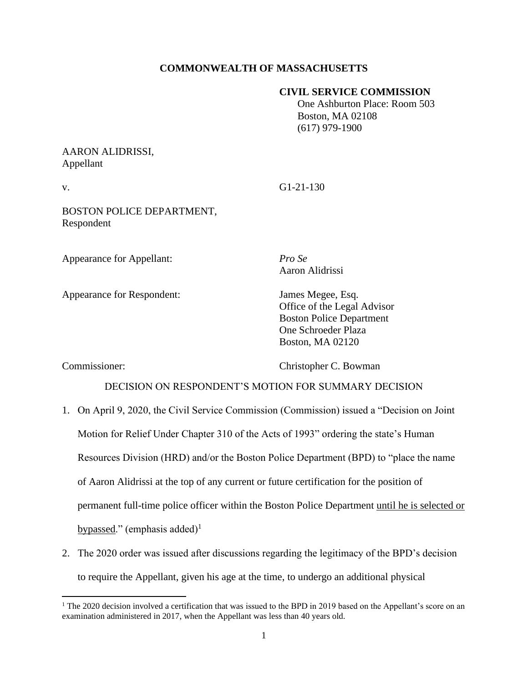# **COMMONWEALTH OF MASSACHUSETTS**

### **CIVIL SERVICE COMMISSION**

 One Ashburton Place: Room 503 Boston, MA 02108 (617) 979-1900

## AARON ALIDRISSI, Appellant

v. G1-21-130

BOSTON POLICE DEPARTMENT, Respondent

Appearance for Appellant: *Pro Se*

Appearance for Respondent: James Megee, Esq.

Aaron Alidrissi

Office of the Legal Advisor Boston Police Department One Schroeder Plaza Boston, MA 02120

Commissioner: Christopher C. Bowman

## DECISION ON RESPONDENT'S MOTION FOR SUMMARY DECISION

- 1. On April 9, 2020, the Civil Service Commission (Commission) issued a "Decision on Joint Motion for Relief Under Chapter 310 of the Acts of 1993" ordering the state's Human Resources Division (HRD) and/or the Boston Police Department (BPD) to "place the name of Aaron Alidrissi at the top of any current or future certification for the position of permanent full-time police officer within the Boston Police Department until he is selected or bypassed." (emphasis added)<sup>1</sup>
- 2. The 2020 order was issued after discussions regarding the legitimacy of the BPD's decision to require the Appellant, given his age at the time, to undergo an additional physical

<sup>&</sup>lt;sup>1</sup> The 2020 decision involved a certification that was issued to the BPD in 2019 based on the Appellant's score on an examination administered in 2017, when the Appellant was less than 40 years old.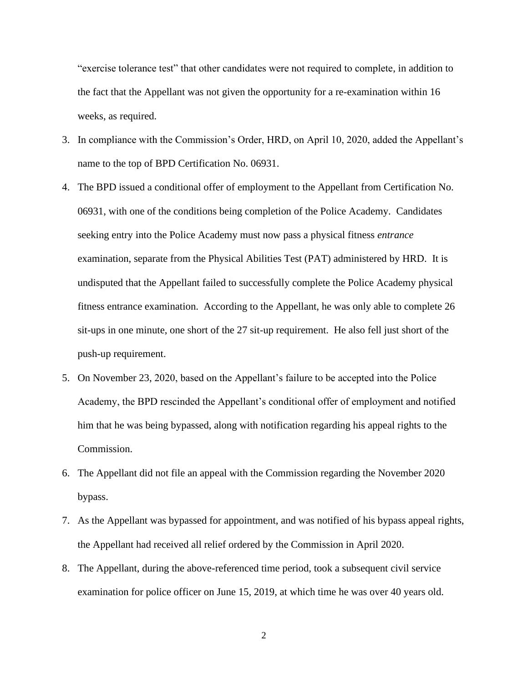"exercise tolerance test" that other candidates were not required to complete, in addition to the fact that the Appellant was not given the opportunity for a re-examination within 16 weeks, as required.

- 3. In compliance with the Commission's Order, HRD, on April 10, 2020, added the Appellant's name to the top of BPD Certification No. 06931.
- 4. The BPD issued a conditional offer of employment to the Appellant from Certification No. 06931, with one of the conditions being completion of the Police Academy. Candidates seeking entry into the Police Academy must now pass a physical fitness *entrance* examination, separate from the Physical Abilities Test (PAT) administered by HRD. It is undisputed that the Appellant failed to successfully complete the Police Academy physical fitness entrance examination. According to the Appellant, he was only able to complete 26 sit-ups in one minute, one short of the 27 sit-up requirement. He also fell just short of the push-up requirement.
- 5. On November 23, 2020, based on the Appellant's failure to be accepted into the Police Academy, the BPD rescinded the Appellant's conditional offer of employment and notified him that he was being bypassed, along with notification regarding his appeal rights to the Commission.
- 6. The Appellant did not file an appeal with the Commission regarding the November 2020 bypass.
- 7. As the Appellant was bypassed for appointment, and was notified of his bypass appeal rights, the Appellant had received all relief ordered by the Commission in April 2020.
- 8. The Appellant, during the above-referenced time period, took a subsequent civil service examination for police officer on June 15, 2019, at which time he was over 40 years old.

2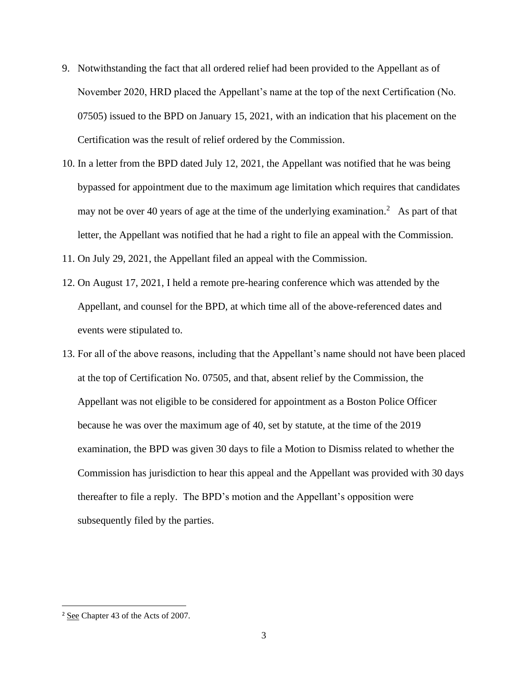- 9. Notwithstanding the fact that all ordered relief had been provided to the Appellant as of November 2020, HRD placed the Appellant's name at the top of the next Certification (No. 07505) issued to the BPD on January 15, 2021, with an indication that his placement on the Certification was the result of relief ordered by the Commission.
- 10. In a letter from the BPD dated July 12, 2021, the Appellant was notified that he was being bypassed for appointment due to the maximum age limitation which requires that candidates may not be over 40 years of age at the time of the underlying examination.<sup>2</sup> As part of that letter, the Appellant was notified that he had a right to file an appeal with the Commission.
- 11. On July 29, 2021, the Appellant filed an appeal with the Commission.
- 12. On August 17, 2021, I held a remote pre-hearing conference which was attended by the Appellant, and counsel for the BPD, at which time all of the above-referenced dates and events were stipulated to.
- 13. For all of the above reasons, including that the Appellant's name should not have been placed at the top of Certification No. 07505, and that, absent relief by the Commission, the Appellant was not eligible to be considered for appointment as a Boston Police Officer because he was over the maximum age of 40, set by statute, at the time of the 2019 examination, the BPD was given 30 days to file a Motion to Dismiss related to whether the Commission has jurisdiction to hear this appeal and the Appellant was provided with 30 days thereafter to file a reply. The BPD's motion and the Appellant's opposition were subsequently filed by the parties.

<sup>&</sup>lt;sup>2</sup> See Chapter 43 of the Acts of 2007.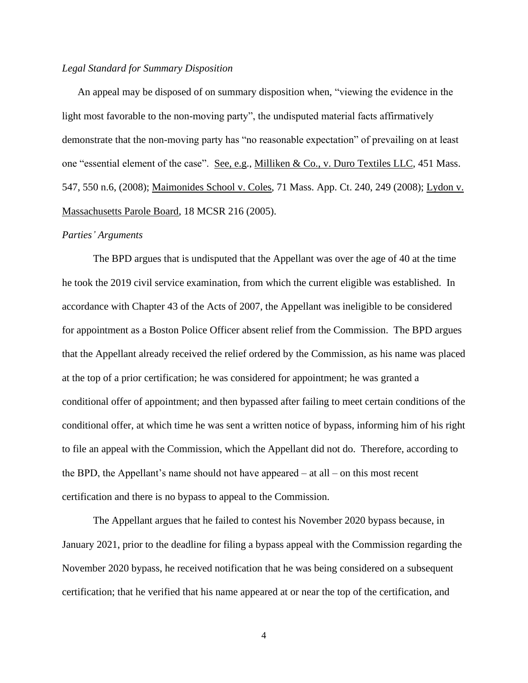#### *Legal Standard for Summary Disposition*

An appeal may be disposed of on summary disposition when, "viewing the evidence in the light most favorable to the non-moving party", the undisputed material facts affirmatively demonstrate that the non-moving party has "no reasonable expectation" of prevailing on at least one "essential element of the case". See, e.g., Milliken & Co., v. Duro Textiles LLC, 451 Mass. 547, 550 n.6, (2008); Maimonides School v. Coles, 71 Mass. App. Ct. 240, 249 (2008); Lydon v. Massachusetts Parole Board, 18 MCSR 216 (2005).

#### *Parties' Arguments*

The BPD argues that is undisputed that the Appellant was over the age of 40 at the time he took the 2019 civil service examination, from which the current eligible was established. In accordance with Chapter 43 of the Acts of 2007, the Appellant was ineligible to be considered for appointment as a Boston Police Officer absent relief from the Commission. The BPD argues that the Appellant already received the relief ordered by the Commission, as his name was placed at the top of a prior certification; he was considered for appointment; he was granted a conditional offer of appointment; and then bypassed after failing to meet certain conditions of the conditional offer, at which time he was sent a written notice of bypass, informing him of his right to file an appeal with the Commission, which the Appellant did not do. Therefore, according to the BPD, the Appellant's name should not have appeared – at all – on this most recent certification and there is no bypass to appeal to the Commission.

The Appellant argues that he failed to contest his November 2020 bypass because, in January 2021, prior to the deadline for filing a bypass appeal with the Commission regarding the November 2020 bypass, he received notification that he was being considered on a subsequent certification; that he verified that his name appeared at or near the top of the certification, and

4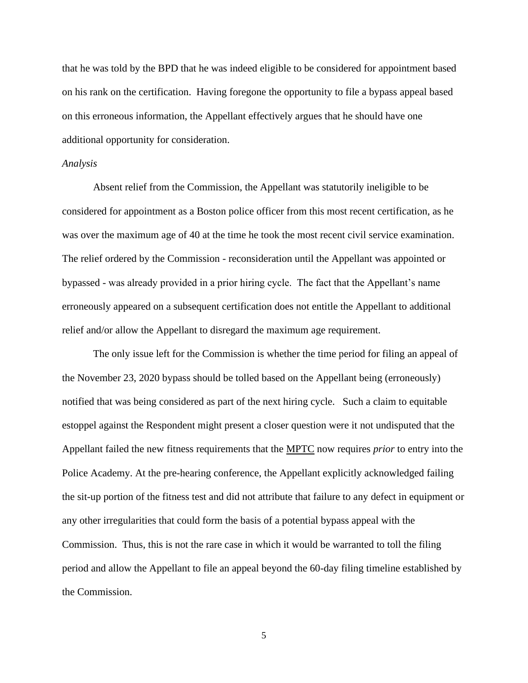that he was told by the BPD that he was indeed eligible to be considered for appointment based on his rank on the certification. Having foregone the opportunity to file a bypass appeal based on this erroneous information, the Appellant effectively argues that he should have one additional opportunity for consideration.

#### *Analysis*

Absent relief from the Commission, the Appellant was statutorily ineligible to be considered for appointment as a Boston police officer from this most recent certification, as he was over the maximum age of 40 at the time he took the most recent civil service examination. The relief ordered by the Commission - reconsideration until the Appellant was appointed or bypassed - was already provided in a prior hiring cycle. The fact that the Appellant's name erroneously appeared on a subsequent certification does not entitle the Appellant to additional relief and/or allow the Appellant to disregard the maximum age requirement.

The only issue left for the Commission is whether the time period for filing an appeal of the November 23, 2020 bypass should be tolled based on the Appellant being (erroneously) notified that was being considered as part of the next hiring cycle. Such a claim to equitable estoppel against the Respondent might present a closer question were it not undisputed that the Appellant failed the new fitness requirements that the MPTC now requires *prior* to entry into the Police Academy. At the pre-hearing conference, the Appellant explicitly acknowledged failing the sit-up portion of the fitness test and did not attribute that failure to any defect in equipment or any other irregularities that could form the basis of a potential bypass appeal with the Commission. Thus, this is not the rare case in which it would be warranted to toll the filing period and allow the Appellant to file an appeal beyond the 60-day filing timeline established by the Commission.

5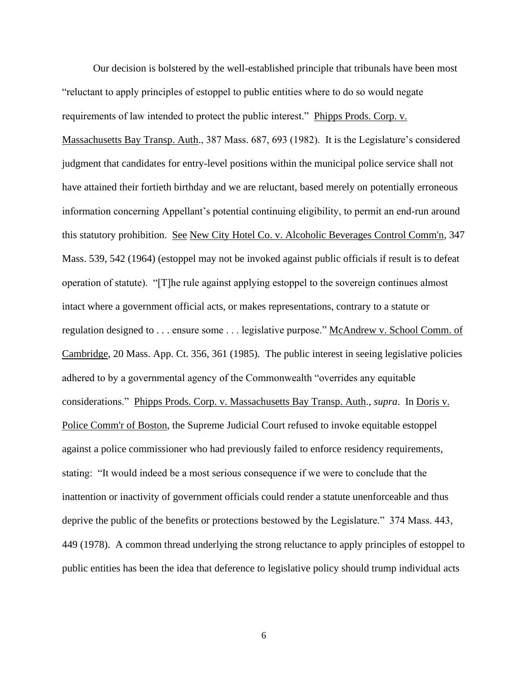Our decision is bolstered by the well-established principle that tribunals have been most "reluctant to apply principles of estoppel to public entities where to do so would negate requirements of law intended to protect the public interest." Phipps Prods. Corp. v. Massachusetts Bay Transp. Auth., 387 Mass. 687, 693 (1982). It is the Legislature's considered judgment that candidates for entry-level positions within the municipal police service shall not have attained their fortieth birthday and we are reluctant, based merely on potentially erroneous information concerning Appellant's potential continuing eligibility, to permit an end-run around this statutory prohibition. See New City Hotel Co. v. Alcoholic Beverages Control Comm'n, 347 Mass. 539, 542 (1964) (estoppel may not be invoked against public officials if result is to defeat operation of statute). "[T]he rule against applying estoppel to the sovereign continues almost intact where a government official acts, or makes representations, contrary to a statute or regulation designed to . . . ensure some . . . legislative purpose." McAndrew v. School Comm. of Cambridge, 20 Mass. App. Ct. 356, 361 (1985). The public interest in seeing legislative policies adhered to by a governmental agency of the Commonwealth "overrides any equitable considerations." Phipps Prods. Corp. v. Massachusetts Bay Transp. Auth., *supra*. In Doris v. Police Comm'r of Boston, the Supreme Judicial Court refused to invoke equitable estoppel against a police commissioner who had previously failed to enforce residency requirements, stating: "It would indeed be a most serious consequence if we were to conclude that the inattention or inactivity of government officials could render a statute unenforceable and thus deprive the public of the benefits or protections bestowed by the Legislature." 374 Mass. 443, 449 (1978). A common thread underlying the strong reluctance to apply principles of estoppel to public entities has been the idea that deference to legislative policy should trump individual acts